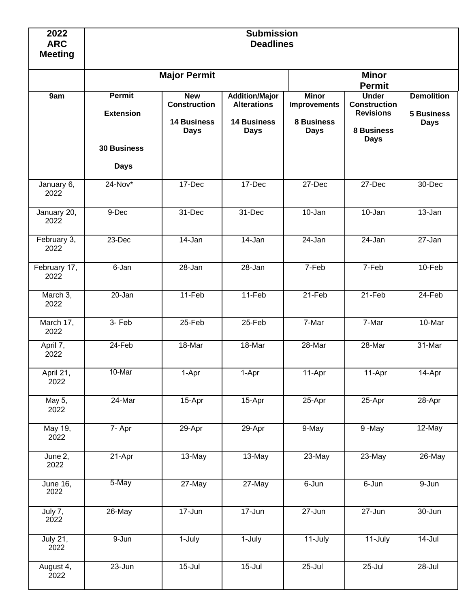| 2022<br><b>ARC</b><br><b>Meeting</b> | <b>Submission</b><br><b>Deadlines</b> |                                                                        |                                                                                  |                                                                  |                                                                                      |                                                       |  |  |
|--------------------------------------|---------------------------------------|------------------------------------------------------------------------|----------------------------------------------------------------------------------|------------------------------------------------------------------|--------------------------------------------------------------------------------------|-------------------------------------------------------|--|--|
|                                      |                                       | <b>Major Permit</b>                                                    |                                                                                  | <b>Minor</b><br><b>Permit</b>                                    |                                                                                      |                                                       |  |  |
| 9am                                  | <b>Permit</b><br><b>Extension</b>     | <b>New</b><br><b>Construction</b><br><b>14 Business</b><br><b>Days</b> | <b>Addition/Major</b><br><b>Alterations</b><br><b>14 Business</b><br><b>Days</b> | <b>Minor</b><br><b>Improvements</b><br>8 Business<br><b>Days</b> | <b>Under</b><br><b>Construction</b><br><b>Revisions</b><br>8 Business<br><b>Days</b> | <b>Demolition</b><br><b>5 Business</b><br><b>Days</b> |  |  |
|                                      | <b>30 Business</b><br><b>Days</b>     |                                                                        |                                                                                  |                                                                  |                                                                                      |                                                       |  |  |
| January 6,<br>2022                   | 24-Nov*                               | 17-Dec                                                                 | 17-Dec                                                                           | 27-Dec                                                           | 27-Dec                                                                               | 30-Dec                                                |  |  |
| January 20,<br>2022                  | 9-Dec                                 | 31-Dec                                                                 | 31-Dec                                                                           | $10 - Jan$                                                       | 10-Jan                                                                               | $13 - Jan$                                            |  |  |
| February 3,<br>2022                  | 23-Dec                                | $14 - Jan$                                                             | $14$ -Jan                                                                        | $24 - Jan$                                                       | $24 - Jan$                                                                           | $27 - Jan$                                            |  |  |
| February 17,<br>2022                 | 6-Jan                                 | 28-Jan                                                                 | 28-Jan                                                                           | 7-Feb                                                            | 7-Feb                                                                                | 10-Feb                                                |  |  |
| March 3,<br>2022                     | 20-Jan                                | 11-Feb                                                                 | 11-Feb                                                                           | $21-Feb$                                                         | $21-Feb$                                                                             | $24-Feb$                                              |  |  |
| March 17,<br>2022                    | $3 - Feb$                             | $25-Feb$                                                               | 25-Feb                                                                           | 7-Mar                                                            | 7-Mar                                                                                | 10-Mar                                                |  |  |
| April 7,<br>2022                     | 24-Feb                                | 18-Mar                                                                 | 18-Mar                                                                           | 28-Mar                                                           | 28-Mar                                                                               | 31-Mar                                                |  |  |
| April 21,<br>2022                    | 10-Mar                                | 1-Apr                                                                  | 1-Apr                                                                            | 11-Apr                                                           | 11-Apr                                                                               | 14-Apr                                                |  |  |
| May 5,<br>2022                       | 24-Mar                                | 15-Apr                                                                 | 15-Apr                                                                           | 25-Apr                                                           | 25-Apr                                                                               | 28-Apr                                                |  |  |
| May 19,<br>2022                      | 7- Apr                                | 29-Apr                                                                 | 29-Apr                                                                           | 9-May                                                            | $9 - May$                                                                            | 12-May                                                |  |  |
| June $2,$<br>2022                    | 21-Apr                                | 13-May                                                                 | 13-May                                                                           | 23-May                                                           | 23-May                                                                               | 26-May                                                |  |  |
| <b>June 16,</b><br>2022              | 5-May                                 | 27-May                                                                 | 27-May                                                                           | 6-Jun                                                            | 6-Jun                                                                                | 9-Jun                                                 |  |  |
| July 7,<br>2022                      | 26-May                                | $17 - Jun$                                                             | $17 - Jun$                                                                       | $27 - Jun$                                                       | $27 - Jun$                                                                           | 30-Jun                                                |  |  |
| <b>July 21,</b><br>2022              | $9 - Jun$                             | $1$ -July                                                              | 1-July                                                                           | 11-July                                                          | 11-July                                                                              | $14 -$ Jul                                            |  |  |
| August 4,<br>2022                    | 23-Jun                                | $15 -$ Jul                                                             | $15 -$ Jul                                                                       | $25 -$ Jul                                                       | $25 -$ Jul                                                                           | 28-Jul                                                |  |  |